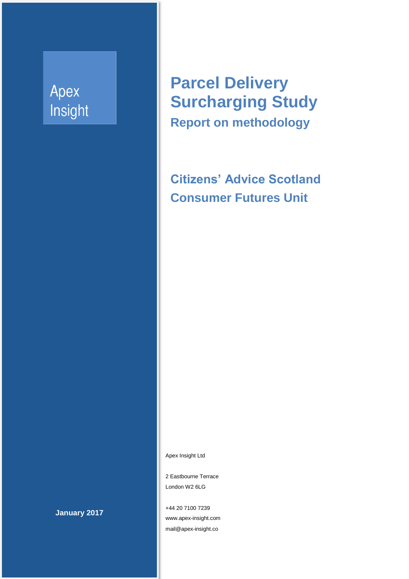# Apex Insight

**Parcel Delivery Surcharging Study Report on methodology**

**Citizens' Advice Scotland Consumer Futures Unit**

Apex Insight Ltd

2 Eastbourne Terrace London W2 6LG

+44 20 7100 7239 www.apex-insight.com mail@apex-insight.co

**January 2017**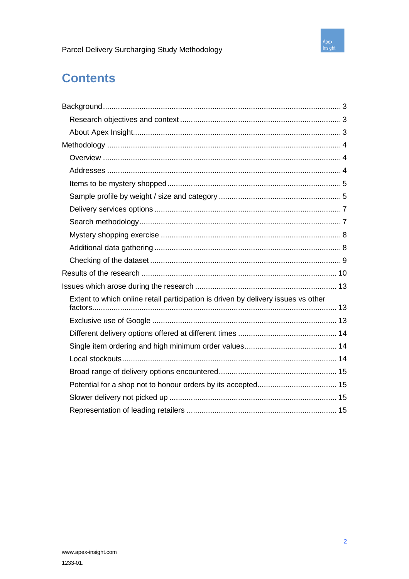

## **Contents**

| Extent to which online retail participation is driven by delivery issues vs other |
|-----------------------------------------------------------------------------------|
|                                                                                   |
|                                                                                   |
|                                                                                   |
|                                                                                   |
|                                                                                   |
|                                                                                   |
|                                                                                   |
|                                                                                   |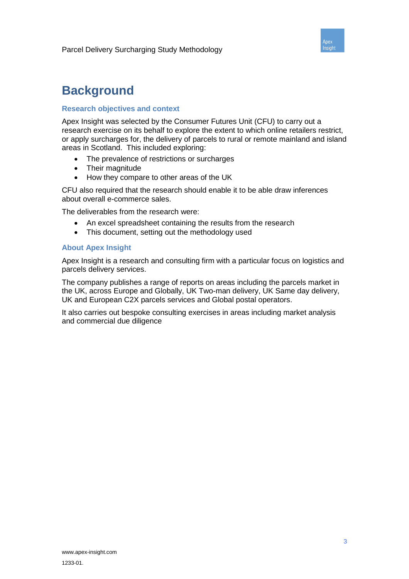

### **Background**

#### **Research objectives and context**

Apex Insight was selected by the Consumer Futures Unit (CFU) to carry out a research exercise on its behalf to explore the extent to which online retailers restrict, or apply surcharges for, the delivery of parcels to rural or remote mainland and island areas in Scotland. This included exploring:

- The prevalence of restrictions or surcharges
- Their magnitude
- How they compare to other areas of the UK

CFU also required that the research should enable it to be able draw inferences about overall e-commerce sales.

The deliverables from the research were:

- An excel spreadsheet containing the results from the research
- This document, setting out the methodology used

#### **About Apex Insight**

Apex Insight is a research and consulting firm with a particular focus on logistics and parcels delivery services.

The company publishes a range of reports on areas including the parcels market in the UK, across Europe and Globally, UK Two-man delivery, UK Same day delivery, UK and European C2X parcels services and Global postal operators.

It also carries out bespoke consulting exercises in areas including market analysis and commercial due diligence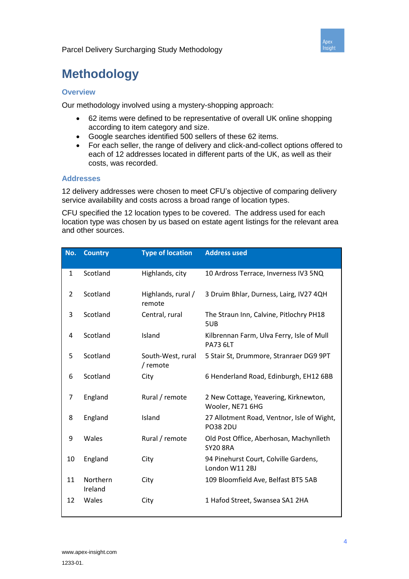

## **Methodology**

### **Overview**

Our methodology involved using a mystery-shopping approach:

- 62 items were defined to be representative of overall UK online shopping according to item category and size.
- Google searches identified 500 sellers of these 62 items.
- For each seller, the range of delivery and click-and-collect options offered to each of 12 addresses located in different parts of the UK, as well as their costs, was recorded.

#### **Addresses**

12 delivery addresses were chosen to meet CFU's objective of comparing delivery service availability and costs across a broad range of location types.

CFU specified the 12 location types to be covered. The address used for each location type was chosen by us based on estate agent listings for the relevant area and other sources.

| No. | <b>Country</b>      | <b>Type of location</b>       | <b>Address used</b>                                           |
|-----|---------------------|-------------------------------|---------------------------------------------------------------|
| 1   | Scotland            | Highlands, city               | 10 Ardross Terrace, Inverness IV3 5NQ                         |
| 2   | Scotland            | Highlands, rural /<br>remote  | 3 Druim Bhlar, Durness, Lairg, IV27 4QH                       |
| 3   | Scotland            | Central, rural                | The Straun Inn, Calvine, Pitlochry PH18<br>5UB                |
| 4   | Scotland            | Island                        | Kilbrennan Farm, Ulva Ferry, Isle of Mull<br><b>PA73 6LT</b>  |
| 5   | Scotland            | South-West, rural<br>/ remote | 5 Stair St, Drummore, Stranraer DG9 9PT                       |
| 6   | Scotland            | City                          | 6 Henderland Road, Edinburgh, EH12 6BB                        |
| 7   | England             | Rural / remote                | 2 New Cottage, Yeavering, Kirknewton,<br>Wooler, NE71 6HG     |
| 8   | England             | Island                        | 27 Allotment Road, Ventnor, Isle of Wight,<br><b>PO38 2DU</b> |
| 9   | Wales               | Rural / remote                | Old Post Office, Aberhosan, Machynlleth<br><b>SY20 8RA</b>    |
| 10  | England             | City                          | 94 Pinehurst Court, Colville Gardens,<br>London W11 2BJ       |
| 11  | Northern<br>Ireland | City                          | 109 Bloomfield Ave, Belfast BT5 5AB                           |
| 12  | Wales               | City                          | 1 Hafod Street, Swansea SA1 2HA                               |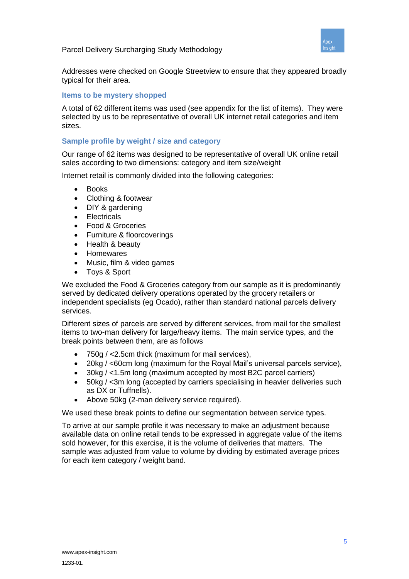



Addresses were checked on Google Streetview to ensure that they appeared broadly typical for their area.

#### **Items to be mystery shopped**

A total of 62 different items was used (see appendix for the list of items). They were selected by us to be representative of overall UK internet retail categories and item sizes.

### **Sample profile by weight / size and category**

Our range of 62 items was designed to be representative of overall UK online retail sales according to two dimensions: category and item size/weight

Internet retail is commonly divided into the following categories:

- Books
- Clothing & footwear
- DIY & gardening
- **Electricals**
- Food & Groceries
- Furniture & floorcoverings
- Health & beauty
- Homewares
- Music, film & video games
- Toys & Sport

We excluded the Food & Groceries category from our sample as it is predominantly served by dedicated delivery operations operated by the grocery retailers or independent specialists (eg Ocado), rather than standard national parcels delivery services.

Different sizes of parcels are served by different services, from mail for the smallest items to two-man delivery for large/heavy items. The main service types, and the break points between them, are as follows

- 750g / <2.5cm thick (maximum for mail services),
- 20kg / <60cm long (maximum for the Royal Mail's universal parcels service),
- 30kg / <1.5m long (maximum accepted by most B2C parcel carriers)
- 50kg / <3m long (accepted by carriers specialising in heavier deliveries such as DX or Tuffnells).
- Above 50kg (2-man delivery service required).

We used these break points to define our segmentation between service types.

To arrive at our sample profile it was necessary to make an adjustment because available data on online retail tends to be expressed in aggregate value of the items sold however, for this exercise, it is the volume of deliveries that matters. The sample was adjusted from value to volume by dividing by estimated average prices for each item category / weight band.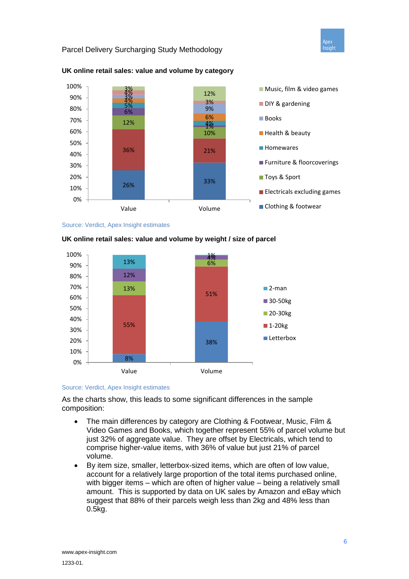Apex Insight

#### Parcel Delivery Surcharging Study Methodology



#### **UK online retail sales: value and volume by category**



#### 8% 38% 55% 51% 13% 6% 12%  $13\%$   $4\%$  6% 1% 0% 10% 20% 30% 40% 50% 60% 70% 80% 90% 100% Value Volume ■2-man ■ 30-50<sub>kg</sub> 20-30<sub>kg</sub>  $\blacksquare$  1-20 $kg$ **Letterbox**

#### **UK online retail sales: value and volume by weight / size of parcel**

#### Source: Verdict, Apex Insight estimates

As the charts show, this leads to some significant differences in the sample composition:

- The main differences by category are Clothing & Footwear, Music, Film & Video Games and Books, which together represent 55% of parcel volume but just 32% of aggregate value. They are offset by Electricals, which tend to comprise higher-value items, with 36% of value but just 21% of parcel volume.
- By item size, smaller, letterbox-sized items, which are often of low value, account for a relatively large proportion of the total items purchased online, with bigger items – which are often of higher value – being a relatively small amount. This is supported by data on UK sales by Amazon and eBay which suggest that 88% of their parcels weigh less than 2kg and 48% less than 0.5kg.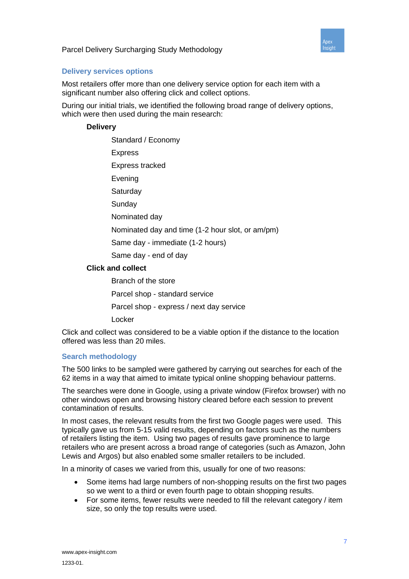

#### **Delivery services options**

Most retailers offer more than one delivery service option for each item with a significant number also offering click and collect options.

During our initial trials, we identified the following broad range of delivery options, which were then used during the main research:

#### **Delivery**

Standard / Economy Express Express tracked Evening **Saturday** Sunday Nominated day Nominated day and time (1-2 hour slot, or am/pm) Same day - immediate (1-2 hours) Same day - end of day **Click and collect** Branch of the store Parcel shop - standard service Parcel shop - express / next day service Locker

Click and collect was considered to be a viable option if the distance to the location offered was less than 20 miles.

#### **Search methodology**

The 500 links to be sampled were gathered by carrying out searches for each of the 62 items in a way that aimed to imitate typical online shopping behaviour patterns.

The searches were done in Google, using a private window (Firefox browser) with no other windows open and browsing history cleared before each session to prevent contamination of results.

In most cases, the relevant results from the first two Google pages were used. This typically gave us from 5-15 valid results, depending on factors such as the numbers of retailers listing the item. Using two pages of results gave prominence to large retailers who are present across a broad range of categories (such as Amazon, John Lewis and Argos) but also enabled some smaller retailers to be included.

In a minority of cases we varied from this, usually for one of two reasons:

- Some items had large numbers of non-shopping results on the first two pages so we went to a third or even fourth page to obtain shopping results.
- For some items, fewer results were needed to fill the relevant category / item size, so only the top results were used.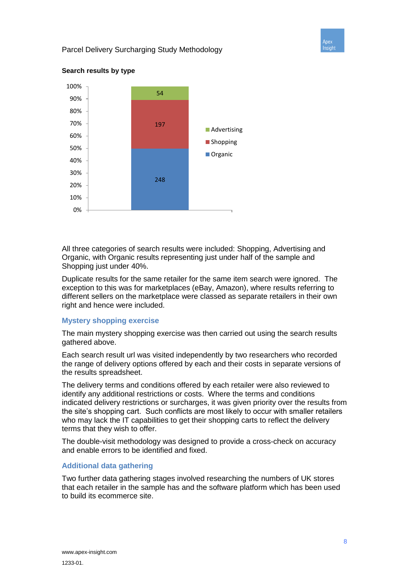



#### **Search results by type**

All three categories of search results were included: Shopping, Advertising and Organic, with Organic results representing just under half of the sample and Shopping just under 40%.

Duplicate results for the same retailer for the same item search were ignored. The exception to this was for marketplaces (eBay, Amazon), where results referring to different sellers on the marketplace were classed as separate retailers in their own right and hence were included.

#### **Mystery shopping exercise**

The main mystery shopping exercise was then carried out using the search results gathered above.

Each search result url was visited independently by two researchers who recorded the range of delivery options offered by each and their costs in separate versions of the results spreadsheet.

The delivery terms and conditions offered by each retailer were also reviewed to identify any additional restrictions or costs. Where the terms and conditions indicated delivery restrictions or surcharges, it was given priority over the results from the site's shopping cart. Such conflicts are most likely to occur with smaller retailers who may lack the IT capabilities to get their shopping carts to reflect the delivery terms that they wish to offer.

The double-visit methodology was designed to provide a cross-check on accuracy and enable errors to be identified and fixed.

#### **Additional data gathering**

Two further data gathering stages involved researching the numbers of UK stores that each retailer in the sample has and the software platform which has been used to build its ecommerce site.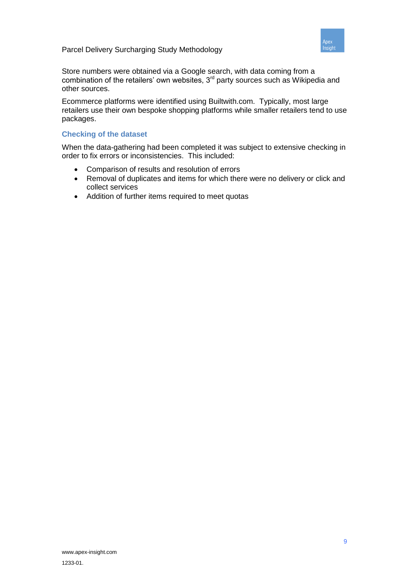

Store numbers were obtained via a Google search, with data coming from a combination of the retailers' own websites,  $3<sup>rd</sup>$  party sources such as Wikipedia and other sources.

Ecommerce platforms were identified using Builtwith.com. Typically, most large retailers use their own bespoke shopping platforms while smaller retailers tend to use packages.

#### **Checking of the dataset**

When the data-gathering had been completed it was subject to extensive checking in order to fix errors or inconsistencies. This included:

- Comparison of results and resolution of errors
- Removal of duplicates and items for which there were no delivery or click and collect services
- Addition of further items required to meet quotas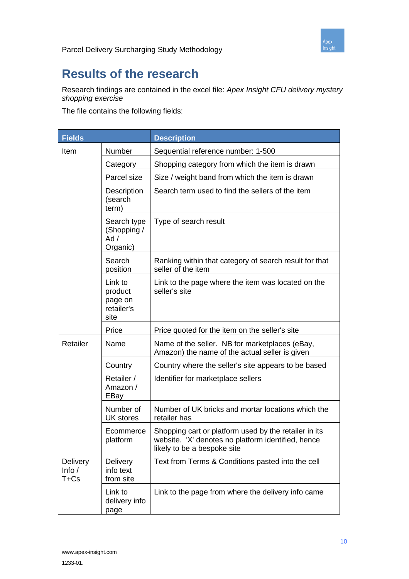

### **Results of the research**

Research findings are contained in the excel file: *Apex Insight CFU delivery mystery shopping exercise*

The file contains the following fields:

| <b>Fields</b>                         |                                                                                                                            | <b>Description</b>                                                                                                                         |  |  |
|---------------------------------------|----------------------------------------------------------------------------------------------------------------------------|--------------------------------------------------------------------------------------------------------------------------------------------|--|--|
| Item                                  | Number                                                                                                                     | Sequential reference number: 1-500                                                                                                         |  |  |
|                                       | Category                                                                                                                   | Shopping category from which the item is drawn                                                                                             |  |  |
|                                       | Parcel size                                                                                                                | Size / weight band from which the item is drawn                                                                                            |  |  |
|                                       | Description<br>(search<br>term)                                                                                            | Search term used to find the sellers of the item                                                                                           |  |  |
|                                       | Search type<br>(Shopping /<br>Ad /<br>Organic)                                                                             | Type of search result                                                                                                                      |  |  |
|                                       | Search<br>position                                                                                                         | Ranking within that category of search result for that<br>seller of the item                                                               |  |  |
|                                       | Link to<br>Link to the page where the item was located on the<br>seller's site<br>product<br>page on<br>retailer's<br>site |                                                                                                                                            |  |  |
|                                       | Price                                                                                                                      | Price quoted for the item on the seller's site                                                                                             |  |  |
| Retailer                              | Name                                                                                                                       | Name of the seller. NB for marketplaces (eBay,<br>Amazon) the name of the actual seller is given                                           |  |  |
|                                       | Country                                                                                                                    | Country where the seller's site appears to be based                                                                                        |  |  |
|                                       | Retailer /<br>Amazon /<br>EBay                                                                                             | Identifier for marketplace sellers                                                                                                         |  |  |
|                                       | Number of<br><b>UK stores</b>                                                                                              | Number of UK bricks and mortar locations which the<br>retailer has                                                                         |  |  |
|                                       | Ecommerce<br>platform                                                                                                      | Shopping cart or platform used by the retailer in its<br>website. 'X' denotes no platform identified, hence<br>likely to be a bespoke site |  |  |
| <b>Delivery</b><br>Info $/$<br>$T+Cs$ | <b>Delivery</b><br>info text<br>from site                                                                                  | Text from Terms & Conditions pasted into the cell                                                                                          |  |  |
|                                       | Link to<br>delivery info<br>page                                                                                           | Link to the page from where the delivery info came                                                                                         |  |  |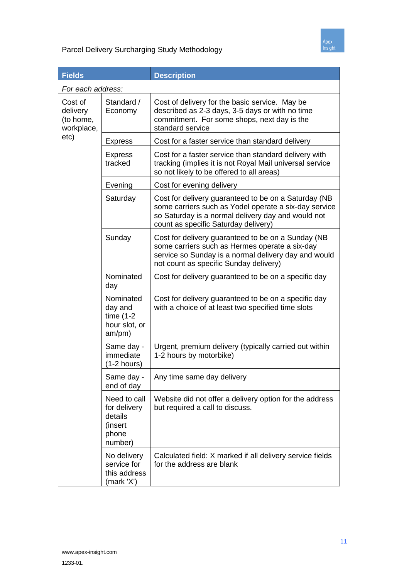

| <b>Fields</b>                                  |                                                                        | <b>Description</b>                                                                                                                                                                                          |  |  |
|------------------------------------------------|------------------------------------------------------------------------|-------------------------------------------------------------------------------------------------------------------------------------------------------------------------------------------------------------|--|--|
| For each address:                              |                                                                        |                                                                                                                                                                                                             |  |  |
| Cost of<br>delivery<br>(to home,<br>workplace, | Standard /<br>Economy                                                  | Cost of delivery for the basic service. May be<br>described as 2-3 days, 3-5 days or with no time<br>commitment. For some shops, next day is the<br>standard service                                        |  |  |
| etc)                                           | <b>Express</b>                                                         | Cost for a faster service than standard delivery                                                                                                                                                            |  |  |
|                                                | <b>Express</b><br>tracked                                              | Cost for a faster service than standard delivery with<br>tracking (implies it is not Royal Mail universal service<br>so not likely to be offered to all areas)                                              |  |  |
|                                                | Evening                                                                | Cost for evening delivery                                                                                                                                                                                   |  |  |
|                                                | Saturday                                                               | Cost for delivery guaranteed to be on a Saturday (NB<br>some carriers such as Yodel operate a six-day service<br>so Saturday is a normal delivery day and would not<br>count as specific Saturday delivery) |  |  |
|                                                | Sunday                                                                 | Cost for delivery guaranteed to be on a Sunday (NB<br>some carriers such as Hermes operate a six-day<br>service so Sunday is a normal delivery day and would<br>not count as specific Sunday delivery)      |  |  |
|                                                | Nominated<br>day                                                       | Cost for delivery guaranteed to be on a specific day                                                                                                                                                        |  |  |
|                                                | Nominated<br>day and<br>time $(1-2)$<br>hour slot, or<br>am/pm)        | Cost for delivery guaranteed to be on a specific day<br>with a choice of at least two specified time slots                                                                                                  |  |  |
|                                                | Same day -<br>immediate<br>$(1-2 hours)$                               | Urgent, premium delivery (typically carried out within<br>1-2 hours by motorbike)                                                                                                                           |  |  |
|                                                | Same day<br>end of day                                                 | Any time same day delivery                                                                                                                                                                                  |  |  |
|                                                | Need to call<br>for delivery<br>details<br>(insert<br>phone<br>number) | Website did not offer a delivery option for the address<br>but required a call to discuss.                                                                                                                  |  |  |
|                                                | No delivery<br>service for<br>this address<br>(mark 'X')               | Calculated field: X marked if all delivery service fields<br>for the address are blank                                                                                                                      |  |  |

Apex<br>Insight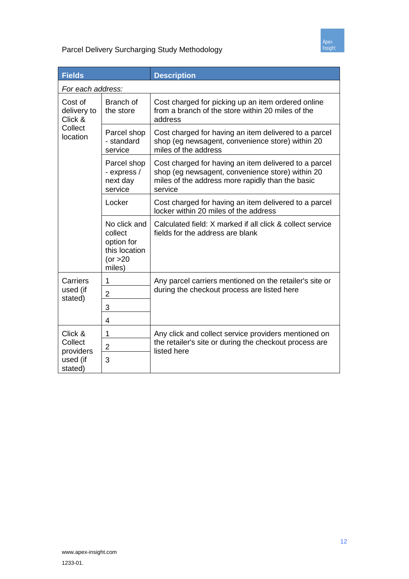

| <b>Fields</b>                     |                                                                              | <b>Description</b>                                                                                                                                                       |  |  |
|-----------------------------------|------------------------------------------------------------------------------|--------------------------------------------------------------------------------------------------------------------------------------------------------------------------|--|--|
| For each address:                 |                                                                              |                                                                                                                                                                          |  |  |
| Cost of<br>delivery to<br>Click & | Branch of<br>the store                                                       | Cost charged for picking up an item ordered online<br>from a branch of the store within 20 miles of the<br>address                                                       |  |  |
| Collect<br>location               | Parcel shop<br>- standard<br>service                                         | Cost charged for having an item delivered to a parcel<br>shop (eg newsagent, convenience store) within 20<br>miles of the address                                        |  |  |
|                                   | Parcel shop<br>- express /<br>next day<br>service                            | Cost charged for having an item delivered to a parcel<br>shop (eg newsagent, convenience store) within 20<br>miles of the address more rapidly than the basic<br>service |  |  |
|                                   | Locker                                                                       | Cost charged for having an item delivered to a parcel<br>locker within 20 miles of the address                                                                           |  |  |
|                                   | No click and<br>collect<br>option for<br>this location<br>(or > 20<br>miles) | Calculated field: X marked if all click & collect service<br>fields for the address are blank                                                                            |  |  |
| Carriers                          | 1                                                                            | Any parcel carriers mentioned on the retailer's site or<br>during the checkout process are listed here                                                                   |  |  |
| used (if<br>stated)               | 2                                                                            |                                                                                                                                                                          |  |  |
|                                   | 3                                                                            |                                                                                                                                                                          |  |  |
|                                   | 4                                                                            |                                                                                                                                                                          |  |  |
| Click &                           | 1                                                                            | Any click and collect service providers mentioned on                                                                                                                     |  |  |
| Collect<br>providers              | $\overline{c}$                                                               | the retailer's site or during the checkout process are<br>listed here                                                                                                    |  |  |
| used (if<br>stated)               | 3                                                                            |                                                                                                                                                                          |  |  |

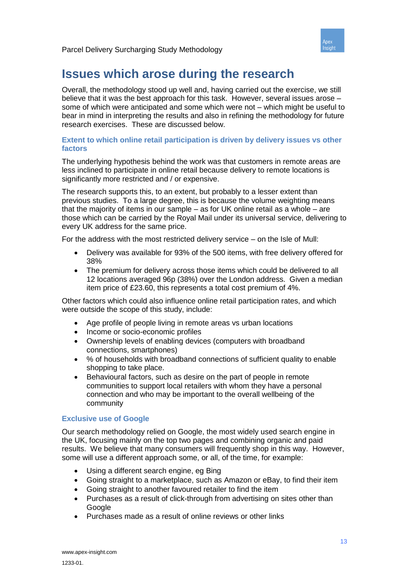

### **Issues which arose during the research**

Overall, the methodology stood up well and, having carried out the exercise, we still believe that it was the best approach for this task. However, several issues arose – some of which were anticipated and some which were not – which might be useful to bear in mind in interpreting the results and also in refining the methodology for future research exercises. These are discussed below.

#### **Extent to which online retail participation is driven by delivery issues vs other factors**

The underlying hypothesis behind the work was that customers in remote areas are less inclined to participate in online retail because delivery to remote locations is significantly more restricted and / or expensive.

The research supports this, to an extent, but probably to a lesser extent than previous studies. To a large degree, this is because the volume weighting means that the majority of items in our sample – as for UK online retail as a whole – are those which can be carried by the Royal Mail under its universal service, delivering to every UK address for the same price.

For the address with the most restricted delivery service – on the Isle of Mull:

- Delivery was available for 93% of the 500 items, with free delivery offered for 38%
- The premium for delivery across those items which could be delivered to all 12 locations averaged 96p (38%) over the London address. Given a median item price of £23.60, this represents a total cost premium of 4%.

Other factors which could also influence online retail participation rates, and which were outside the scope of this study, include:

- Age profile of people living in remote areas vs urban locations
- Income or socio-economic profiles
- Ownership levels of enabling devices (computers with broadband connections, smartphones)
- % of households with broadband connections of sufficient quality to enable shopping to take place.
- Behavioural factors, such as desire on the part of people in remote communities to support local retailers with whom they have a personal connection and who may be important to the overall wellbeing of the community

#### **Exclusive use of Google**

Our search methodology relied on Google, the most widely used search engine in the UK, focusing mainly on the top two pages and combining organic and paid results. We believe that many consumers will frequently shop in this way. However, some will use a different approach some, or all, of the time, for example:

- Using a different search engine, eg Bing
- Going straight to a marketplace, such as Amazon or eBay, to find their item
- Going straight to another favoured retailer to find the item
- Purchases as a result of click-through from advertising on sites other than Google
- Purchases made as a result of online reviews or other links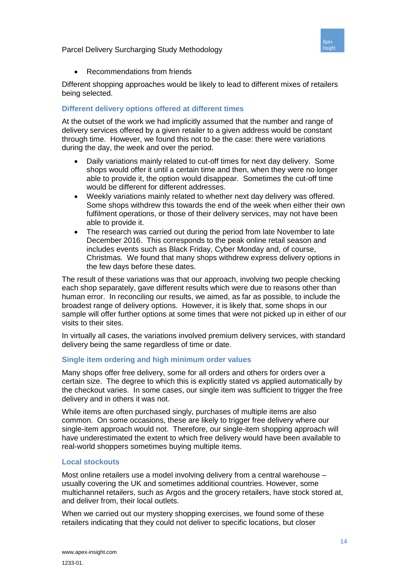

Recommendations from friends

Different shopping approaches would be likely to lead to different mixes of retailers being selected.

#### **Different delivery options offered at different times**

At the outset of the work we had implicitly assumed that the number and range of delivery services offered by a given retailer to a given address would be constant through time. However, we found this not to be the case: there were variations during the day, the week and over the period.

- Daily variations mainly related to cut-off times for next day delivery. Some shops would offer it until a certain time and then, when they were no longer able to provide it, the option would disappear. Sometimes the cut-off time would be different for different addresses.
- Weekly variations mainly related to whether next day delivery was offered. Some shops withdrew this towards the end of the week when either their own fulfilment operations, or those of their delivery services, may not have been able to provide it.
- The research was carried out during the period from late November to late December 2016. This corresponds to the peak online retail season and includes events such as Black Friday, Cyber Monday and, of course, Christmas. We found that many shops withdrew express delivery options in the few days before these dates.

The result of these variations was that our approach, involving two people checking each shop separately, gave different results which were due to reasons other than human error. In reconciling our results, we aimed, as far as possible, to include the broadest range of delivery options. However, it is likely that, some shops in our sample will offer further options at some times that were not picked up in either of our visits to their sites.

In virtually all cases, the variations involved premium delivery services, with standard delivery being the same regardless of time or date.

#### **Single item ordering and high minimum order values**

Many shops offer free delivery, some for all orders and others for orders over a certain size. The degree to which this is explicitly stated vs applied automatically by the checkout varies. In some cases, our single item was sufficient to trigger the free delivery and in others it was not.

While items are often purchased singly, purchases of multiple items are also common. On some occasions, these are likely to trigger free delivery where our single-item approach would not. Therefore, our single-item shopping approach will have underestimated the extent to which free delivery would have been available to real-world shoppers sometimes buying multiple items.

#### **Local stockouts**

Most online retailers use a model involving delivery from a central warehouse – usually covering the UK and sometimes additional countries. However, some multichannel retailers, such as Argos and the grocery retailers, have stock stored at, and deliver from, their local outlets.

When we carried out our mystery shopping exercises, we found some of these retailers indicating that they could not deliver to specific locations, but closer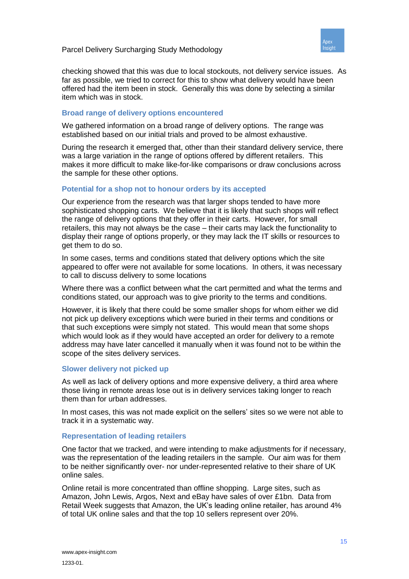

checking showed that this was due to local stockouts, not delivery service issues. As far as possible, we tried to correct for this to show what delivery would have been offered had the item been in stock. Generally this was done by selecting a similar item which was in stock.

#### **Broad range of delivery options encountered**

We gathered information on a broad range of delivery options. The range was established based on our initial trials and proved to be almost exhaustive.

During the research it emerged that, other than their standard delivery service, there was a large variation in the range of options offered by different retailers. This makes it more difficult to make like-for-like comparisons or draw conclusions across the sample for these other options.

#### **Potential for a shop not to honour orders by its accepted**

Our experience from the research was that larger shops tended to have more sophisticated shopping carts. We believe that it is likely that such shops will reflect the range of delivery options that they offer in their carts. However, for small retailers, this may not always be the case – their carts may lack the functionality to display their range of options properly, or they may lack the IT skills or resources to get them to do so.

In some cases, terms and conditions stated that delivery options which the site appeared to offer were not available for some locations. In others, it was necessary to call to discuss delivery to some locations

Where there was a conflict between what the cart permitted and what the terms and conditions stated, our approach was to give priority to the terms and conditions.

However, it is likely that there could be some smaller shops for whom either we did not pick up delivery exceptions which were buried in their terms and conditions or that such exceptions were simply not stated. This would mean that some shops which would look as if they would have accepted an order for delivery to a remote address may have later cancelled it manually when it was found not to be within the scope of the sites delivery services.

#### **Slower delivery not picked up**

As well as lack of delivery options and more expensive delivery, a third area where those living in remote areas lose out is in delivery services taking longer to reach them than for urban addresses.

In most cases, this was not made explicit on the sellers' sites so we were not able to track it in a systematic way.

#### **Representation of leading retailers**

One factor that we tracked, and were intending to make adjustments for if necessary, was the representation of the leading retailers in the sample. Our aim was for them to be neither significantly over- nor under-represented relative to their share of UK online sales.

Online retail is more concentrated than offline shopping. Large sites, such as Amazon, John Lewis, Argos, Next and eBay have sales of over £1bn. Data from Retail Week suggests that Amazon, the UK's leading online retailer, has around 4% of total UK online sales and that the top 10 sellers represent over 20%.